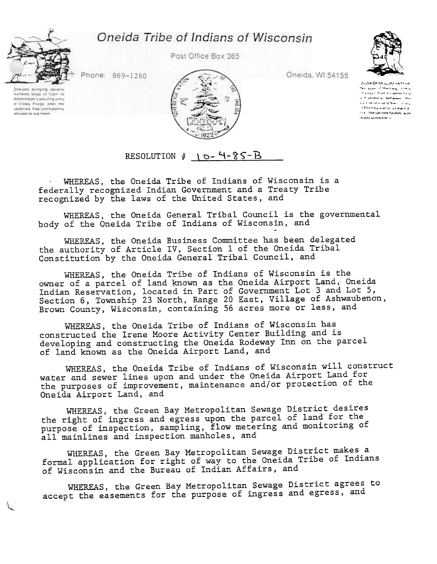## Oneida Tribe of Indians of Wisconsin



Post Office Box 365

Oneida, WI 54155

Phone: 869-1260

Oneidas bringing severa or niour to zped pertning Wasnington's star-ing army at Valley Forge, atter the coinnists had consistently letused to aid them

\.  $\mathcal{L}$ 



l\,...~O"'."',-",., ."T'~" 'Ser, ause of the help. 2 th.<br>''Felda'' had in ceime fin , " '."f",. "..,~~-, '~,. , , , ".", ."'f 'I'~' ""'. ".<br>" Peensylvania la riewina .,., '"~ 'J'."~" St.,,~, ~.., "".nde possible v

## RESOLUTION  $#$   $\circ$ - $\rightarrow$ -85-B

WHEREAS, the Oneida Tribe of Indians of Wisconsin is a federally recognized Indian Government and a Treaty Tribe recognized by the laws of the United States, and

WHEREAS, the Oneida General Tribal Council is the governmental body of the Oneida Tribe of Indians of Wisconsin, and

WHEREAS, the Oneida Business Committee has been delegated the authority of Article IV, Section 1 of the Oneida Tribal Constitution by the Oneida General Tribal Council, and

WHEREAS, the Oneida Tribe of Indians of Wisconsin is the owner of a parcel of land known as the Oneida Airport Land, Oneida Indian Reservation, located in Part of Government Lot 3 and Lot 5, Section 6, Township 23 North, Range 20 East, Village of Ashwaubenon, Brown County, Wisconsin, containing 56 acres more or less, and

WHEREAS, the Oneida Tribe of Indians of Wisconsin has constructed the Irene Moore Activity Center Building and i developing and constructing the Oneida Rodeway Inn on the parce of land known as the Oneida Airport Land, and

WHEREAS, the Oneida Tribe of Indians of Wisconsin will construct water and sewer lines upon and under the Oneida Airport Land for the purposes of improvement, maintenance and/or protection of the Oneida Airport Land, and

WHEREAS, the Green Bay Metropolitan Sewage District desires the right of ingress and egress upon the parcel of land for the purpose of inspection, sampling, flow metering and monitoring of all mainlines and inspection manholes, and

WHEREAS, the Green Bay Metropolitan Sewage District makes a formal application for right of way to the Oneida Tribe of Indians of Wisconsin and the Bureau of Indian Affairs, and

WHEREAS, the Green Bay Metropolitan Sewage District agrees to accept the easements for the purpose of ingress and egress, and